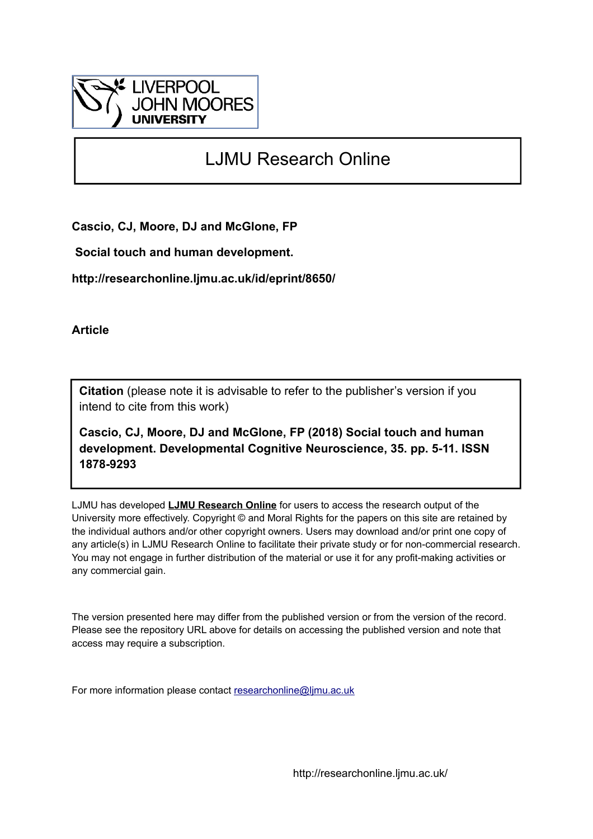

# LJMU Research Online

**Cascio, CJ, Moore, DJ and McGlone, FP**

 **Social touch and human development.**

**http://researchonline.ljmu.ac.uk/id/eprint/8650/**

**Article**

**Citation** (please note it is advisable to refer to the publisher's version if you intend to cite from this work)

**Cascio, CJ, Moore, DJ and McGlone, FP (2018) Social touch and human development. Developmental Cognitive Neuroscience, 35. pp. 5-11. ISSN 1878-9293** 

LJMU has developed **[LJMU Research Online](http://researchonline.ljmu.ac.uk/)** for users to access the research output of the University more effectively. Copyright © and Moral Rights for the papers on this site are retained by the individual authors and/or other copyright owners. Users may download and/or print one copy of any article(s) in LJMU Research Online to facilitate their private study or for non-commercial research. You may not engage in further distribution of the material or use it for any profit-making activities or any commercial gain.

The version presented here may differ from the published version or from the version of the record. Please see the repository URL above for details on accessing the published version and note that access may require a subscription.

For more information please contact [researchonline@ljmu.ac.uk](mailto:researchonline@ljmu.ac.uk)

http://researchonline.ljmu.ac.uk/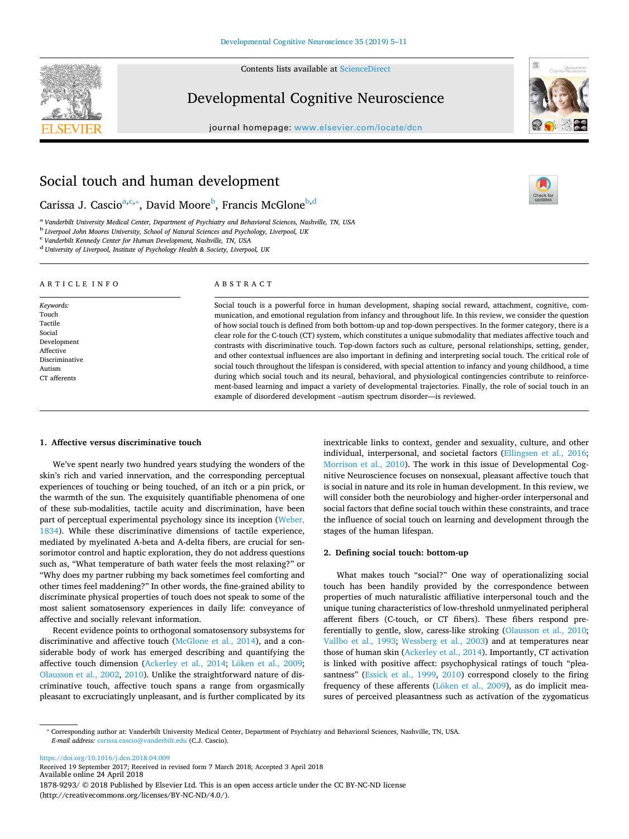Contents lists available at [ScienceDirect](http://www.sciencedirect.com/science/journal/18789293)



## Developmental Cognitive Neuroscience

journal homepage: [www.elsevier.com/locate/dcn](https://www.elsevier.com/locate/dcn)



 $\frac{N}{2}$ 

## Social touch and human development

C[a](#page-1-0)rissa J. Cascioª,<sup>c,</sup>\*, David Moore<sup>[b](#page-1-3)</sup>, Francis McGlone<sup>b,[d](#page-1-4)</sup>

<span id="page-1-0"></span><sup>a</sup> *Vanderbilt University Medical Center, Department of Psychiatry and Behavioral Sciences, Nashville, TN, USA*

<span id="page-1-3"></span><sup>b</sup> Liverpool John Moores University, School of Natural Sciences and Psychology, Liverpool, UK<br><sup>c</sup> Vanderbilt Kennedy Center for Human Development, Nashville, TN, USA

<span id="page-1-1"></span>*Vanderbilt Kennedy Center for Human Development, Nashville, TN, USA*

<span id="page-1-4"></span><sup>d</sup> *University of Liverpool, Institute of Psychology Health & Society, Liverpool, UK*

#### ARTICLE INFO

*Keywords:* Touch Tactile Social Development Affective Discriminative Autism CT afferents

#### ABSTRACT

Social touch is a powerful force in human development, shaping social reward, attachment, cognitive, communication, and emotional regulation from infancy and throughout life. In this review, we consider the question of how social touch is defined from both bottom-up and top-down perspectives. In the former category, there is a clear role for the C-touch (CT) system, which constitutes a unique submodality that mediates affective touch and contrasts with discriminative touch. Top-down factors such as culture, personal relationships, setting, gender, and other contextual influences are also important in defining and interpreting social touch. The critical role of social touch throughout the lifespan is considered, with special attention to infancy and young childhood, a time during which social touch and its neural, behavioral, and physiological contingencies contribute to reinforcement-based learning and impact a variety of developmental trajectories. Finally, the role of social touch in an example of disordered development –autism spectrum disorder—is reviewed.

#### **1. Affective versus discriminative touch**

We've spent nearly two hundred years studying the wonders of the skin's rich and varied innervation, and the corresponding perceptual experiences of touching or being touched, of an itch or a pin prick, or the warmth of the sun. The exquisitely quantifiable phenomena of one of these sub-modalities, tactile acuity and discrimination, have been part of perceptual experimental psychology since its inception ([Weber,](#page-7-0) [1834\)](#page-7-0). While these discriminative dimensions of tactile experience, mediated by myelinated A-beta and A-delta fibers, are crucial for sensorimotor control and haptic exploration, they do not address questions such as, "What temperature of bath water feels the most relaxing?" or "Why does my partner rubbing my back sometimes feel comforting and other times feel maddening?" In other words, the fine-grained ability to discriminate physical properties of touch does not speak to some of the most salient somatosensory experiences in daily life: conveyance of affective and socially relevant information.

Recent evidence points to orthogonal somatosensory subsystems for discriminative and affective touch [\(McGlone et al., 2014](#page-7-1)), and a considerable body of work has emerged describing and quantifying the affective touch dimension [\(Ackerley et al., 2014;](#page-5-0) [Löken et al., 2009](#page-7-2); [Olausson et al., 2002](#page-7-3), [2010\)](#page-7-4). Unlike the straightforward nature of discriminative touch, affective touch spans a range from orgasmically pleasant to excruciatingly unpleasant, and is further complicated by its inextricable links to context, gender and sexuality, culture, and other individual, interpersonal, and societal factors [\(Ellingsen et al., 2016](#page-6-0); [Morrison et al., 2010](#page-7-5)). The work in this issue of Developmental Cognitive Neuroscience focuses on nonsexual, pleasant affective touch that is social in nature and its role in human development. In this review, we will consider both the neurobiology and higher-order interpersonal and social factors that define social touch within these constraints, and trace the influence of social touch on learning and development through the stages of the human lifespan.

### **2. Defining social touch: bottom-up**

What makes touch "social?" One way of operationalizing social touch has been handily provided by the correspondence between properties of much naturalistic affiliative interpersonal touch and the unique tuning characteristics of low-threshold unmyelinated peripheral afferent fibers (C-touch, or CT fibers). These fibers respond preferentially to gentle, slow, caress-like stroking ([Olausson et al., 2010](#page-7-4); [Vallbo et al., 1993;](#page-7-6) [Wessberg et al., 2003](#page-7-7)) and at temperatures near those of human skin [\(Ackerley et al., 2014](#page-5-0)). Importantly, CT activation is linked with positive affect: psychophysical ratings of touch "plea-santness" ([Essick et al., 1999](#page-6-1), [2010\)](#page-6-2) correspond closely to the firing frequency of these afferents ([Löken et al., 2009](#page-7-2)), as do implicit measures of perceived pleasantness such as activation of the zygomaticus

<span id="page-1-2"></span>⁎ Corresponding author at: Vanderbilt University Medical Center, Department of Psychiatry and Behavioral Sciences, Nashville, TN, USA. *E-mail address:* [carissa.cascio@vanderbilt.edu](mailto:carissa.cascio@vanderbilt.edu) (C.J. Cascio).

<https://doi.org/10.1016/j.dcn.2018.04.009> Received 19 September 2017; Received in revised form 7 March 2018; Accepted 3 April 2018 Available online 24 April 2018 1878-9293/ © 2018 Published by Elsevier Ltd. This is an open access article under the CC BY-NC-ND license (http://creativecommons.org/licenses/BY-NC-ND/4.0/).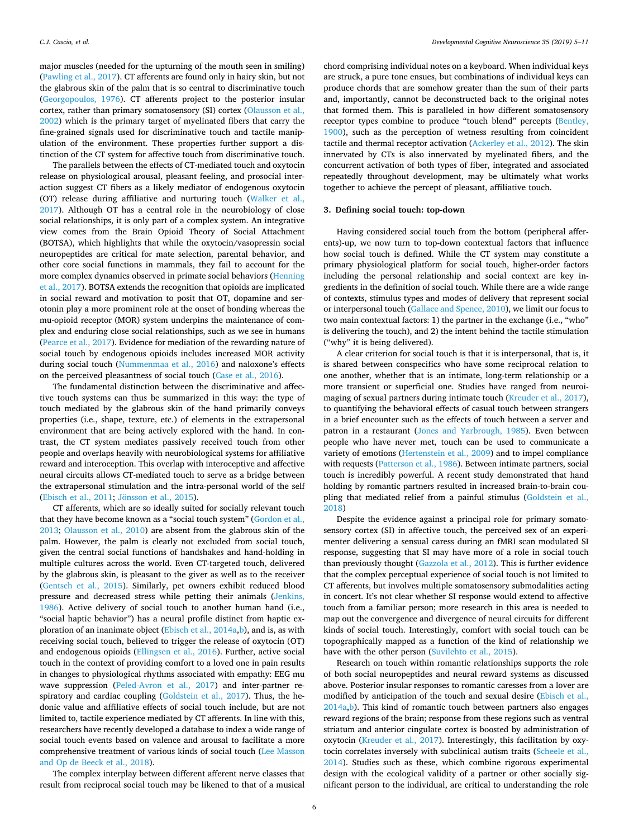major muscles (needed for the upturning of the mouth seen in smiling) ([Pawling et al., 2017\)](#page-7-8). CT afferents are found only in hairy skin, but not the glabrous skin of the palm that is so central to discriminative touch ([Georgopoulos, 1976\)](#page-6-3). CT afferents project to the posterior insular cortex, rather than primary somatosensory (SI) cortex [\(Olausson et al.,](#page-7-3) [2002\)](#page-7-3) which is the primary target of myelinated fibers that carry the fine-grained signals used for discriminative touch and tactile manipulation of the environment. These properties further support a distinction of the CT system for affective touch from discriminative touch.

The parallels between the effects of CT-mediated touch and oxytocin release on physiological arousal, pleasant feeling, and prosocial interaction suggest CT fibers as a likely mediator of endogenous oxytocin (OT) release during affiliative and nurturing touch ([Walker et al.,](#page-7-9) [2017\)](#page-7-9). Although OT has a central role in the neurobiology of close social relationships, it is only part of a complex system. An integrative view comes from the Brain Opioid Theory of Social Attachment (BOTSA), which highlights that while the oxytocin/vasopressin social neuropeptides are critical for mate selection, parental behavior, and other core social functions in mammals, they fail to account for the more complex dynamics observed in primate social behaviors ([Henning](#page-6-4) [et al., 2017\)](#page-6-4). BOTSA extends the recognition that opioids are implicated in social reward and motivation to posit that OT, dopamine and serotonin play a more prominent role at the onset of bonding whereas the mu-opioid receptor (MOR) system underpins the maintenance of complex and enduring close social relationships, such as we see in humans ([Pearce et al., 2017\)](#page-7-10). Evidence for mediation of the rewarding nature of social touch by endogenous opioids includes increased MOR activity during social touch ([Nummenmaa et al., 2016\)](#page-7-11) and naloxone's effects on the perceived pleasantness of social touch [\(Case et al., 2016\)](#page-6-5).

The fundamental distinction between the discriminative and affective touch systems can thus be summarized in this way: the type of touch mediated by the glabrous skin of the hand primarily conveys properties (i.e., shape, texture, etc.) of elements in the extrapersonal environment that are being actively explored with the hand. In contrast, the CT system mediates passively received touch from other people and overlaps heavily with neurobiological systems for affiliative reward and interoception. This overlap with interoceptive and affective neural circuits allows CT-mediated touch to serve as a bridge between the extrapersonal stimulation and the intra-personal world of the self ([Ebisch et al., 2011;](#page-6-6) [Jönsson et al., 2015](#page-6-7)).

CT afferents, which are so ideally suited for socially relevant touch that they have become known as a "social touch system" ([Gordon et al.,](#page-6-8) [2013;](#page-6-8) [Olausson et al., 2010](#page-7-4)) are absent from the glabrous skin of the palm. However, the palm is clearly not excluded from social touch, given the central social functions of handshakes and hand-holding in multiple cultures across the world. Even CT-targeted touch, delivered by the glabrous skin, is pleasant to the giver as well as to the receiver ([Gentsch et al., 2015](#page-6-9)). Similarly, pet owners exhibit reduced blood pressure and decreased stress while petting their animals ([Jenkins,](#page-6-10) [1986\)](#page-6-10). Active delivery of social touch to another human hand (i.e., "social haptic behavior") has a neural profile distinct from haptic ex-ploration of an inanimate object ([Ebisch et al., 2014a](#page-6-11), [b](#page-6-12)), and is, as with receiving social touch, believed to trigger the release of oxytocin (OT) and endogenous opioids ([Ellingsen et al., 2016\)](#page-6-0). Further, active social touch in the context of providing comfort to a loved one in pain results in changes to physiological rhythms associated with empathy: EEG mu wave suppression ([Peled-Avron et al., 2017](#page-7-12)) and inter-partner respiratory and cardiac coupling [\(Goldstein et al., 2017](#page-6-13)). Thus, the hedonic value and affiliative effects of social touch include, but are not limited to, tactile experience mediated by CT afferents. In line with this, researchers have recently developed a database to index a wide range of social touch events based on valence and arousal to facilitate a more comprehensive treatment of various kinds of social touch ([Lee Masson](#page-7-13) [and Op de Beeck et al., 2018](#page-7-13)).

The complex interplay between different afferent nerve classes that result from reciprocal social touch may be likened to that of a musical

chord comprising individual notes on a keyboard. When individual keys are struck, a pure tone ensues, but combinations of individual keys can produce chords that are somehow greater than the sum of their parts and, importantly, cannot be deconstructed back to the original notes that formed them. This is paralleled in how different somatosensory receptor types combine to produce "touch blend" percepts ([Bentley,](#page-6-14) [1900\)](#page-6-14), such as the perception of wetness resulting from coincident tactile and thermal receptor activation [\(Ackerley et al., 2012](#page-6-15)). The skin innervated by CTs is also innervated by myelinated fibers, and the concurrent activation of both types of fiber, integrated and associated repeatedly throughout development, may be ultimately what works together to achieve the percept of pleasant, affiliative touch.

#### **3. Defining social touch: top-down**

Having considered social touch from the bottom (peripheral afferents)-up, we now turn to top-down contextual factors that influence how social touch is defined. While the CT system may constitute a primary physiological platform for social touch, higher-order factors including the personal relationship and social context are key ingredients in the definition of social touch. While there are a wide range of contexts, stimulus types and modes of delivery that represent social or interpersonal touch [\(Gallace and Spence, 2010\)](#page-6-16), we limit our focus to two main contextual factors: 1) the partner in the exchange (i.e., "who" is delivering the touch), and 2) the intent behind the tactile stimulation ("why" it is being delivered).

A clear criterion for social touch is that it is interpersonal, that is, it is shared between conspecifics who have some reciprocal relation to one another, whether that is an intimate, long-term relationship or a more transient or superficial one. Studies have ranged from neuroimaging of sexual partners during intimate touch [\(Kreuder et al., 2017](#page-7-14)), to quantifying the behavioral effects of casual touch between strangers in a brief encounter such as the effects of touch between a server and patron in a restaurant [\(Jones and Yarbrough, 1985\)](#page-6-17). Even between people who have never met, touch can be used to communicate a variety of emotions ([Hertenstein et al., 2009](#page-6-18)) and to impel compliance with requests ([Patterson et al., 1986](#page-7-15)). Between intimate partners, social touch is incredibly powerful. A recent study demonstrated that hand holding by romantic partners resulted in increased brain-to-brain cou-pling that mediated relief from a painful stimulus ([Goldstein et al.,](#page-6-19) [2018\)](#page-6-19)

Despite the evidence against a principal role for primary somatosensory cortex (SI) in affective touch, the perceived sex of an experimenter delivering a sensual caress during an fMRI scan modulated SI response, suggesting that SI may have more of a role in social touch than previously thought ([Gazzola et al., 2012\)](#page-6-20). This is further evidence that the complex perceptual experience of social touch is not limited to CT afferents, but involves multiple somatosensory submodalities acting in concert. It's not clear whether SI response would extend to affective touch from a familiar person; more research in this area is needed to map out the convergence and divergence of neural circuits for different kinds of social touch. Interestingly, comfort with social touch can be topographically mapped as a function of the kind of relationship we have with the other person ([Suvilehto et al., 2015\)](#page-7-16).

Research on touch within romantic relationships supports the role of both social neuropeptides and neural reward systems as discussed above. Posterior insular responses to romantic caresses from a lover are modified by anticipation of the touch and sexual desire ([Ebisch et al.,](#page-6-11) [2014a,](#page-6-11)[b](#page-6-12)). This kind of romantic touch between partners also engages reward regions of the brain; response from these regions such as ventral striatum and anterior cingulate cortex is boosted by administration of oxytocin ([Kreuder et al., 2017\)](#page-7-14). Interestingly, this facilitation by oxytocin correlates inversely with subclinical autism traits [\(Scheele et al.,](#page-7-17) [2014\)](#page-7-17). Studies such as these, which combine rigorous experimental design with the ecological validity of a partner or other socially significant person to the individual, are critical to understanding the role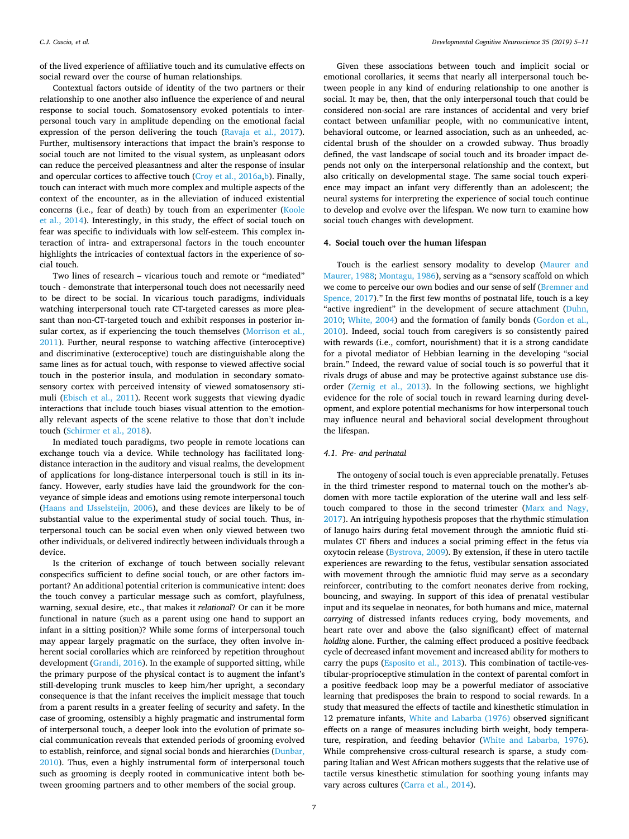of the lived experience of affiliative touch and its cumulative effects on social reward over the course of human relationships.

Contextual factors outside of identity of the two partners or their relationship to one another also influence the experience of and neural response to social touch. Somatosensory evoked potentials to interpersonal touch vary in amplitude depending on the emotional facial expression of the person delivering the touch ([Ravaja et al., 2017](#page-7-18)). Further, multisensory interactions that impact the brain's response to social touch are not limited to the visual system, as unpleasant odors can reduce the perceived pleasantness and alter the response of insular and opercular cortices to affective touch [\(Croy et al., 2016a](#page-6-21)[,b\)](#page-6-22). Finally, touch can interact with much more complex and multiple aspects of the context of the encounter, as in the alleviation of induced existential concerns (i.e., fear of death) by touch from an experimenter ([Koole](#page-7-19) [et al., 2014](#page-7-19)). Interestingly, in this study, the effect of social touch on fear was specific to individuals with low self-esteem. This complex interaction of intra- and extrapersonal factors in the touch encounter highlights the intricacies of contextual factors in the experience of social touch.

Two lines of research – vicarious touch and remote or "mediated" touch - demonstrate that interpersonal touch does not necessarily need to be direct to be social. In vicarious touch paradigms, individuals watching interpersonal touch rate CT-targeted caresses as more pleasant than non-CT-targeted touch and exhibit responses in posterior insular cortex, as if experiencing the touch themselves [\(Morrison et al.,](#page-7-20) [2011\)](#page-7-20). Further, neural response to watching affective (interoceptive) and discriminative (exteroceptive) touch are distinguishable along the same lines as for actual touch, with response to viewed affective social touch in the posterior insula, and modulation in secondary somatosensory cortex with perceived intensity of viewed somatosensory stimuli ([Ebisch et al., 2011\)](#page-6-6). Recent work suggests that viewing dyadic interactions that include touch biases visual attention to the emotionally relevant aspects of the scene relative to those that don't include touch [\(Schirmer et al., 2018](#page-7-21)).

In mediated touch paradigms, two people in remote locations can exchange touch via a device. While technology has facilitated longdistance interaction in the auditory and visual realms, the development of applications for long-distance interpersonal touch is still in its infancy. However, early studies have laid the groundwork for the conveyance of simple ideas and emotions using remote interpersonal touch ([Haans and IJsselsteijn, 2006\)](#page-6-23), and these devices are likely to be of substantial value to the experimental study of social touch. Thus, interpersonal touch can be social even when only viewed between two other individuals, or delivered indirectly between individuals through a device.

Is the criterion of exchange of touch between socially relevant conspecifics sufficient to define social touch, or are other factors important? An additional potential criterion is communicative intent: does the touch convey a particular message such as comfort, playfulness, warning, sexual desire, etc., that makes it *relational*? Or can it be more functional in nature (such as a parent using one hand to support an infant in a sitting position)? While some forms of interpersonal touch may appear largely pragmatic on the surface, they often involve inherent social corollaries which are reinforced by repetition throughout development [\(Grandi, 2016\)](#page-6-24). In the example of supported sitting, while the primary purpose of the physical contact is to augment the infant's still-developing trunk muscles to keep him/her upright, a secondary consequence is that the infant receives the implicit message that touch from a parent results in a greater feeling of security and safety. In the case of grooming, ostensibly a highly pragmatic and instrumental form of interpersonal touch, a deeper look into the evolution of primate social communication reveals that extended periods of grooming evolved to establish, reinforce, and signal social bonds and hierarchies [\(Dunbar,](#page-6-25) [2010\)](#page-6-25). Thus, even a highly instrumental form of interpersonal touch such as grooming is deeply rooted in communicative intent both between grooming partners and to other members of the social group.

Given these associations between touch and implicit social or emotional corollaries, it seems that nearly all interpersonal touch between people in any kind of enduring relationship to one another is social. It may be, then, that the only interpersonal touch that could be considered non-social are rare instances of accidental and very brief contact between unfamiliar people, with no communicative intent, behavioral outcome, or learned association, such as an unheeded, accidental brush of the shoulder on a crowded subway. Thus broadly defined, the vast landscape of social touch and its broader impact depends not only on the interpersonal relationship and the context, but also critically on developmental stage. The same social touch experience may impact an infant very differently than an adolescent; the neural systems for interpreting the experience of social touch continue to develop and evolve over the lifespan. We now turn to examine how social touch changes with development.

#### **4. Social touch over the human lifespan**

Touch is the earliest sensory modality to develop [\(Maurer and](#page-7-22) [Maurer, 1988;](#page-7-22) [Montagu, 1986\)](#page-7-23), serving as a "sensory scaffold on which we come to perceive our own bodies and our sense of self [\(Bremner and](#page-6-26) [Spence, 2017\)](#page-6-26)." In the first few months of postnatal life, touch is a key "active ingredient" in the development of secure attachment [\(Duhn,](#page-6-27) [2010;](#page-6-27) [White, 2004](#page-7-24)) and the formation of family bonds [\(Gordon et al.,](#page-6-28) [2010\)](#page-6-28). Indeed, social touch from caregivers is so consistently paired with rewards (i.e., comfort, nourishment) that it is a strong candidate for a pivotal mediator of Hebbian learning in the developing "social brain." Indeed, the reward value of social touch is so powerful that it rivals drugs of abuse and may be protective against substance use disorder ([Zernig et al., 2013](#page-7-25)). In the following sections, we highlight evidence for the role of social touch in reward learning during development, and explore potential mechanisms for how interpersonal touch may influence neural and behavioral social development throughout the lifespan.

#### *4.1. Pre- and perinatal*

The ontogeny of social touch is even appreciable prenatally. Fetuses in the third trimester respond to maternal touch on the mother's abdomen with more tactile exploration of the uterine wall and less selftouch compared to those in the second trimester ([Marx and Nagy,](#page-7-26) [2017\)](#page-7-26). An intriguing hypothesis proposes that the rhythmic stimulation of lanugo hairs during fetal movement through the amniotic fluid stimulates CT fibers and induces a social priming effect in the fetus via oxytocin release ([Bystrova, 2009\)](#page-6-29). By extension, if these in utero tactile experiences are rewarding to the fetus, vestibular sensation associated with movement through the amniotic fluid may serve as a secondary reinforcer, contributing to the comfort neonates derive from rocking, bouncing, and swaying. In support of this idea of prenatal vestibular input and its sequelae in neonates, for both humans and mice, maternal *carrying* of distressed infants reduces crying, body movements, and heart rate over and above the (also significant) effect of maternal *holding* alone. Further, the calming effect produced a positive feedback cycle of decreased infant movement and increased ability for mothers to carry the pups ([Esposito et al., 2013\)](#page-6-30). This combination of tactile-vestibular-proprioceptive stimulation in the context of parental comfort in a positive feedback loop may be a powerful mediator of associative learning that predisposes the brain to respond to social rewards. In a study that measured the effects of tactile and kinesthetic stimulation in 12 premature infants, [White and Labarba \(1976\)](#page-7-27) observed significant effects on a range of measures including birth weight, body temperature, respiration, and feeding behavior [\(White and Labarba, 1976](#page-7-27)). While comprehensive cross-cultural research is sparse, a study comparing Italian and West African mothers suggests that the relative use of tactile versus kinesthetic stimulation for soothing young infants may vary across cultures ([Carra et al., 2014\)](#page-6-31).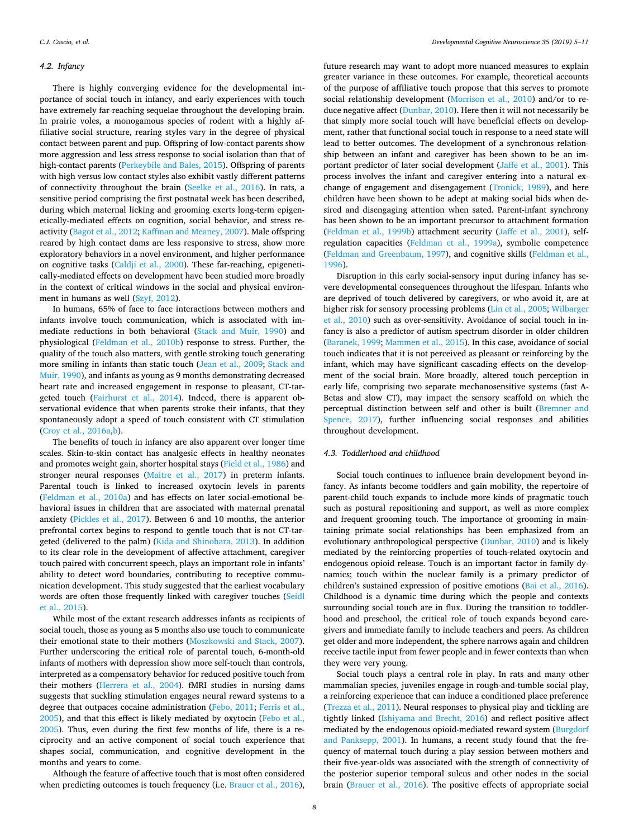#### *4.2. Infancy*

There is highly converging evidence for the developmental importance of social touch in infancy, and early experiences with touch have extremely far-reaching sequelae throughout the developing brain. In prairie voles, a monogamous species of rodent with a highly affiliative social structure, rearing styles vary in the degree of physical contact between parent and pup. Offspring of low-contact parents show more aggression and less stress response to social isolation than that of high-contact parents [\(Perkeybile and Bales, 2015\)](#page-7-28). Offspring of parents with high versus low contact styles also exhibit vastly different patterns of connectivity throughout the brain ([Seelke et al., 2016](#page-7-29)). In rats, a sensitive period comprising the first postnatal week has been described, during which maternal licking and grooming exerts long-term epigenetically-mediated effects on cognition, social behavior, and stress reactivity ([Bagot et al., 2012](#page-6-32); [Kaffman and Meaney, 2007\)](#page-6-33). Male offspring reared by high contact dams are less responsive to stress, show more exploratory behaviors in a novel environment, and higher performance on cognitive tasks ([Caldji et al., 2000\)](#page-6-34). These far-reaching, epigenetically-mediated effects on development have been studied more broadly in the context of critical windows in the social and physical environment in humans as well [\(Szyf, 2012\)](#page-7-30).

In humans, 65% of face to face interactions between mothers and infants involve touch communication, which is associated with immediate reductions in both behavioral ([Stack and Muir, 1990](#page-7-31)) and physiological [\(Feldman et al., 2010b\)](#page-6-35) response to stress. Further, the quality of the touch also matters, with gentle stroking touch generating more smiling in infants than static touch [\(Jean et al., 2009](#page-6-36); [Stack and](#page-7-31) [Muir, 1990\)](#page-7-31), and infants as young as 9 months demonstrating decreased heart rate and increased engagement in response to pleasant, CT-targeted touch [\(Fairhurst et al., 2014\)](#page-6-37). Indeed, there is apparent observational evidence that when parents stroke their infants, that they spontaneously adopt a speed of touch consistent with CT stimulation ([Croy et al., 2016a,](#page-6-21)[b](#page-6-22)).

The benefits of touch in infancy are also apparent over longer time scales. Skin-to-skin contact has analgesic effects in healthy neonates and promotes weight gain, shorter hospital stays ([Field et al., 1986\)](#page-6-38) and stronger neural responses [\(Maitre et al., 2017](#page-7-32)) in preterm infants. Parental touch is linked to increased oxytocin levels in parents ([Feldman et al., 2010a\)](#page-6-39) and has effects on later social-emotional behavioral issues in children that are associated with maternal prenatal anxiety ([Pickles et al., 2017](#page-7-33)). Between 6 and 10 months, the anterior prefrontal cortex begins to respond to gentle touch that is not CT-targeted (delivered to the palm) [\(Kida and Shinohara, 2013](#page-7-34)). In addition to its clear role in the development of affective attachment, caregiver touch paired with concurrent speech, plays an important role in infants' ability to detect word boundaries, contributing to receptive communication development. This study suggested that the earliest vocabulary words are often those frequently linked with caregiver touches [\(Seidl](#page-7-35) [et al., 2015](#page-7-35)).

While most of the extant research addresses infants as recipients of social touch, those as young as 5 months also use touch to communicate their emotional state to their mothers ([Moszkowski and Stack, 2007](#page-7-36)). Further underscoring the critical role of parental touch, 6-month-old infants of mothers with depression show more self-touch than controls, interpreted as a compensatory behavior for reduced positive touch from their mothers [\(Herrera et al., 2004](#page-6-40)). fMRI studies in nursing dams suggests that suckling stimulation engages neural reward systems to a degree that outpaces cocaine administration ([Febo, 2011;](#page-6-41) [Ferris et al.,](#page-6-42) [2005\)](#page-6-42), and that this effect is likely mediated by oxytocin [\(Febo et al.,](#page-6-43) [2005\)](#page-6-43). Thus, even during the first few months of life, there is a reciprocity and an active component of social touch experience that shapes social, communication, and cognitive development in the months and years to come.

Although the feature of affective touch that is most often considered when predicting outcomes is touch frequency (i.e. [Brauer et al., 2016](#page-6-44)), future research may want to adopt more nuanced measures to explain greater variance in these outcomes. For example, theoretical accounts of the purpose of affiliative touch propose that this serves to promote social relationship development ([Morrison et al., 2010\)](#page-7-5) and/or to reduce negative affect [\(Dunbar, 2010\)](#page-6-25). Here then it will not necessarily be that simply more social touch will have beneficial effects on development, rather that functional social touch in response to a need state will lead to better outcomes. The development of a synchronous relationship between an infant and caregiver has been shown to be an important predictor of later social development ([Jaffe et al., 2001\)](#page-6-45). This process involves the infant and caregiver entering into a natural exchange of engagement and disengagement ([Tronick, 1989](#page-7-37)), and here children have been shown to be adept at making social bids when desired and disengaging attention when sated. Parent-infant synchrony has been shown to be an important precursor to attachment formation ([Feldman et al., 1999b](#page-6-46)) attachment security ([Jaffe et al., 2001\)](#page-6-45), selfregulation capacities ([Feldman et al., 1999a\)](#page-6-47), symbolic competence ([Feldman and Greenbaum, 1997](#page-6-48)), and cognitive skills [\(Feldman et al.,](#page-6-49) [1996\)](#page-6-49).

Disruption in this early social-sensory input during infancy has severe developmental consequences throughout the lifespan. Infants who are deprived of touch delivered by caregivers, or who avoid it, are at higher risk for sensory processing problems ([Lin et al., 2005](#page-7-38); [Wilbarger](#page-7-39) [et al., 2010](#page-7-39)) such as over-sensitivity. Avoidance of social touch in infancy is also a predictor of autism spectrum disorder in older children ([Baranek, 1999;](#page-6-50) [Mammen et al., 2015\)](#page-7-40). In this case, avoidance of social touch indicates that it is not perceived as pleasant or reinforcing by the infant, which may have significant cascading effects on the development of the social brain. More broadly, altered touch perception in early life, comprising two separate mechanosensitive systems (fast A-Betas and slow CT), may impact the sensory scaffold on which the perceptual distinction between self and other is built ([Bremner and](#page-6-26) [Spence, 2017](#page-6-26)), further influencing social responses and abilities throughout development.

#### *4.3. Toddlerhood and childhood*

Social touch continues to influence brain development beyond infancy. As infants become toddlers and gain mobility, the repertoire of parent-child touch expands to include more kinds of pragmatic touch such as postural repositioning and support, as well as more complex and frequent grooming touch. The importance of grooming in maintaining primate social relationships has been emphasized from an evolutionary anthropological perspective ([Dunbar, 2010\)](#page-6-25) and is likely mediated by the reinforcing properties of touch-related oxytocin and endogenous opioid release. Touch is an important factor in family dynamics; touch within the nuclear family is a primary predictor of children's sustained expression of positive emotions [\(Bai et al., 2016](#page-6-51)). Childhood is a dynamic time during which the people and contexts surrounding social touch are in flux. During the transition to toddlerhood and preschool, the critical role of touch expands beyond caregivers and immediate family to include teachers and peers. As children get older and more independent, the sphere narrows again and children receive tactile input from fewer people and in fewer contexts than when they were very young.

Social touch plays a central role in play. In rats and many other mammalian species, juveniles engage in rough-and-tumble social play, a reinforcing experience that can induce a conditioned place preference ([Trezza et al., 2011](#page-7-41)). Neural responses to physical play and tickling are tightly linked [\(Ishiyama and Brecht, 2016](#page-6-52)) and reflect positive affect mediated by the endogenous opioid-mediated reward system [\(Burgdorf](#page-6-53) [and Panksepp, 2001](#page-6-53)). In humans, a recent study found that the frequency of maternal touch during a play session between mothers and their five-year-olds was associated with the strength of connectivity of the posterior superior temporal sulcus and other nodes in the social brain [\(Brauer et al., 2016\)](#page-6-44). The positive effects of appropriate social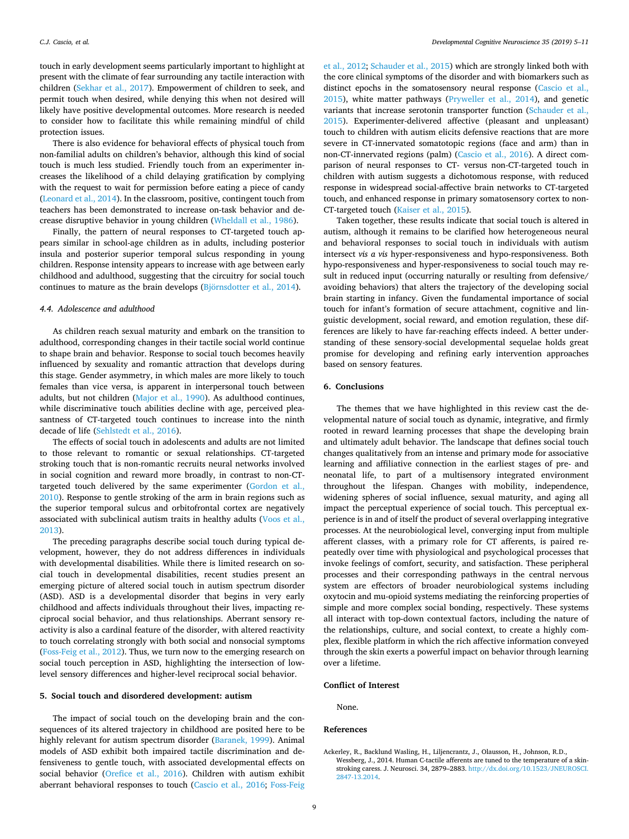touch in early development seems particularly important to highlight at present with the climate of fear surrounding any tactile interaction with children ([Sekhar et al., 2017\)](#page-7-42). Empowerment of children to seek, and permit touch when desired, while denying this when not desired will likely have positive developmental outcomes. More research is needed to consider how to facilitate this while remaining mindful of child protection issues.

There is also evidence for behavioral effects of physical touch from non-familial adults on children's behavior, although this kind of social touch is much less studied. Friendly touch from an experimenter increases the likelihood of a child delaying gratification by complying with the request to wait for permission before eating a piece of candy ([Leonard et al., 2014](#page-7-43)). In the classroom, positive, contingent touch from teachers has been demonstrated to increase on-task behavior and decrease disruptive behavior in young children ([Wheldall et al., 1986\)](#page-7-44).

Finally, the pattern of neural responses to CT-targeted touch appears similar in school-age children as in adults, including posterior insula and posterior superior temporal sulcus responding in young children. Response intensity appears to increase with age between early childhood and adulthood, suggesting that the circuitry for social touch continues to mature as the brain develops ([Björnsdotter et al., 2014\)](#page-6-54).

#### *4.4. Adolescence and adulthood*

As children reach sexual maturity and embark on the transition to adulthood, corresponding changes in their tactile social world continue to shape brain and behavior. Response to social touch becomes heavily influenced by sexuality and romantic attraction that develops during this stage. Gender asymmetry, in which males are more likely to touch females than vice versa, is apparent in interpersonal touch between adults, but not children ([Major et al., 1990\)](#page-7-45). As adulthood continues, while discriminative touch abilities decline with age, perceived pleasantness of CT-targeted touch continues to increase into the ninth decade of life [\(Sehlstedt et al., 2016\)](#page-7-46).

The effects of social touch in adolescents and adults are not limited to those relevant to romantic or sexual relationships. CT-targeted stroking touch that is non-romantic recruits neural networks involved in social cognition and reward more broadly, in contrast to non-CTtargeted touch delivered by the same experimenter [\(Gordon et al.,](#page-6-28) [2010\)](#page-6-28). Response to gentle stroking of the arm in brain regions such as the superior temporal sulcus and orbitofrontal cortex are negatively associated with subclinical autism traits in healthy adults ([Voos et al.,](#page-7-47) [2013\)](#page-7-47).

The preceding paragraphs describe social touch during typical development, however, they do not address differences in individuals with developmental disabilities. While there is limited research on social touch in developmental disabilities, recent studies present an emerging picture of altered social touch in autism spectrum disorder (ASD). ASD is a developmental disorder that begins in very early childhood and affects individuals throughout their lives, impacting reciprocal social behavior, and thus relationships. Aberrant sensory reactivity is also a cardinal feature of the disorder, with altered reactivity to touch correlating strongly with both social and nonsocial symptoms ([Foss-Feig et al., 2012\)](#page-6-55). Thus, we turn now to the emerging research on social touch perception in ASD, highlighting the intersection of lowlevel sensory differences and higher-level reciprocal social behavior.

#### **5. Social touch and disordered development: autism**

The impact of social touch on the developing brain and the consequences of its altered trajectory in childhood are posited here to be highly relevant for autism spectrum disorder [\(Baranek, 1999](#page-6-50)). Animal models of ASD exhibit both impaired tactile discrimination and defensiveness to gentle touch, with associated developmental effects on social behavior ([Orefice et al., 2016\)](#page-7-48). Children with autism exhibit aberrant behavioral responses to touch ([Cascio et al., 2016](#page-6-56); [Foss-Feig](#page-6-55)

[et al., 2012;](#page-6-55) [Schauder et al., 2015\)](#page-7-49) which are strongly linked both with the core clinical symptoms of the disorder and with biomarkers such as distinct epochs in the somatosensory neural response ([Cascio et al.,](#page-6-57) [2015\)](#page-6-57), white matter pathways [\(Pryweller et al., 2014](#page-7-50)), and genetic variants that increase serotonin transporter function [\(Schauder et al.,](#page-7-49) [2015\)](#page-7-49). Experimenter-delivered affective (pleasant and unpleasant) touch to children with autism elicits defensive reactions that are more severe in CT-innervated somatotopic regions (face and arm) than in non-CT-innervated regions (palm) ([Cascio et al., 2016\)](#page-6-56). A direct comparison of neural responses to CT- versus non-CT-targeted touch in children with autism suggests a dichotomous response, with reduced response in widespread social-affective brain networks to CT-targeted touch, and enhanced response in primary somatosensory cortex to non-CT-targeted touch [\(Kaiser et al., 2015](#page-7-51)).

Taken together, these results indicate that social touch is altered in autism, although it remains to be clarified how heterogeneous neural and behavioral responses to social touch in individuals with autism intersect *vis a vis* hyper-responsiveness and hypo-responsiveness. Both hypo-responsiveness and hyper-responsiveness to social touch may result in reduced input (occurring naturally or resulting from defensive/ avoiding behaviors) that alters the trajectory of the developing social brain starting in infancy. Given the fundamental importance of social touch for infant's formation of secure attachment, cognitive and linguistic development, social reward, and emotion regulation, these differences are likely to have far-reaching effects indeed. A better understanding of these sensory-social developmental sequelae holds great promise for developing and refining early intervention approaches based on sensory features.

#### **6. Conclusions**

The themes that we have highlighted in this review cast the developmental nature of social touch as dynamic, integrative, and firmly rooted in reward learning processes that shape the developing brain and ultimately adult behavior. The landscape that defines social touch changes qualitatively from an intense and primary mode for associative learning and affiliative connection in the earliest stages of pre- and neonatal life, to part of a multisensory integrated environment throughout the lifespan. Changes with mobility, independence, widening spheres of social influence, sexual maturity, and aging all impact the perceptual experience of social touch. This perceptual experience is in and of itself the product of several overlapping integrative processes. At the neurobiological level, converging input from multiple afferent classes, with a primary role for CT afferents, is paired repeatedly over time with physiological and psychological processes that invoke feelings of comfort, security, and satisfaction. These peripheral processes and their corresponding pathways in the central nervous system are effectors of broader neurobiological systems including oxytocin and mu-opioid systems mediating the reinforcing properties of simple and more complex social bonding, respectively. These systems all interact with top-down contextual factors, including the nature of the relationships, culture, and social context, to create a highly complex, flexible platform in which the rich affective information conveyed through the skin exerts a powerful impact on behavior through learning over a lifetime.

#### **Conflict of Interest**

None.

#### **References**

<span id="page-5-0"></span>Ackerley, R., Backlund Wasling, H., Liljencrantz, J., Olausson, H., Johnson, R.D., Wessberg, J., 2014. Human C-tactile afferents are tuned to the temperature of a skinstroking caress. J. Neurosci. 34, 2879–2883. [http://dx.doi.org/10.1523/JNEUROSCI.](http://dx.doi.org/10.1523/JNEUROSCI.2847-13.2014) [2847-13.2014](http://dx.doi.org/10.1523/JNEUROSCI.2847-13.2014).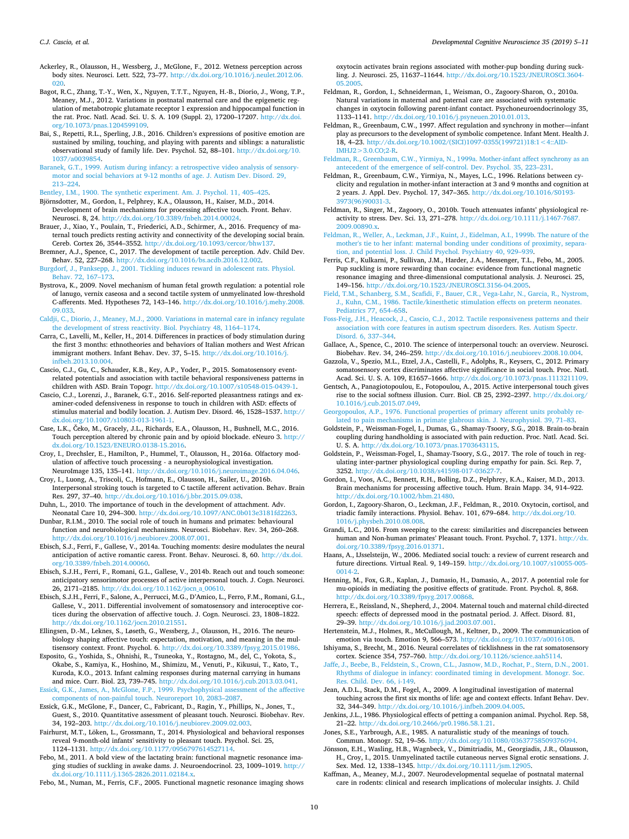- <span id="page-6-15"></span>Ackerley, R., Olausson, H., Wessberg, J., McGlone, F., 2012. Wetness perception across body sites. Neurosci. Lett. 522, 73–77. [http://dx.doi.org/10.1016/j.neulet.2012.06.](http://dx.doi.org/10.1016/j.neulet.2012.06.020) [020](http://dx.doi.org/10.1016/j.neulet.2012.06.020)
- <span id="page-6-32"></span>Bagot, R.C., Zhang, T.-Y., Wen, X., Nguyen, T.T.T., Nguyen, H.-B., Diorio, J., Wong, T.P., Meaney, M.J., 2012. Variations in postnatal maternal care and the epigenetic regulation of metabotropic glutamate receptor 1 expression and hippocampal function in the rat. Proc. Natl. Acad. Sci. U. S. A. 109 (Suppl. 2), 17200–17207. [http://dx.doi.](http://dx.doi.org/10.1073/pnas.1204599109) [org/10.1073/pnas.1204599109](http://dx.doi.org/10.1073/pnas.1204599109).
- <span id="page-6-51"></span>Bai, S., Repetti, R.L., Sperling, J.B., 2016. Children's expressions of positive emotion are sustained by smiling, touching, and playing with parents and siblings: a naturalistic observational study of family life. Dev. Psychol. 52, 88–101. [http://dx.doi.org/10.](http://dx.doi.org/10.1037/a0039854) [1037/a0039854](http://dx.doi.org/10.1037/a0039854).
- <span id="page-6-50"></span>[Baranek, G.T., 1999. Autism during infancy: a retrospective video analysis of sensory](http://refhub.elsevier.com/S1878-9293(17)30196-2/sbref0025)[motor and social behaviors at 9-12 months of age. J. Autism Dev. Disord. 29,](http://refhub.elsevier.com/S1878-9293(17)30196-2/sbref0025) [213–224](http://refhub.elsevier.com/S1878-9293(17)30196-2/sbref0025).
- <span id="page-6-14"></span>[Bentley, I.M., 1900. The synthetic experiment. Am. J. Psychol. 11, 405–425](http://refhub.elsevier.com/S1878-9293(17)30196-2/sbref0030).
- <span id="page-6-54"></span>Björnsdotter, M., Gordon, I., Pelphrey, K.A., Olausson, H., Kaiser, M.D., 2014. Development of brain mechanisms for processing affective touch. Front. Behav. Neurosci. 8, 24. [http://dx.doi.org/10.3389/fnbeh.2014.00024.](http://dx.doi.org/10.3389/fnbeh.2014.00024)
- <span id="page-6-44"></span>Brauer, J., Xiao, Y., Poulain, T., Friederici, A.D., Schirmer, A., 2016. Frequency of maternal touch predicts resting activity and connectivity of the developing social brain. Cereb. Cortex 26, 3544–3552. [http://dx.doi.org/10.1093/cercor/bhw137.](http://dx.doi.org/10.1093/cercor/bhw137)
- <span id="page-6-26"></span>Bremner, A.J., Spence, C., 2017. The development of tactile perception. Adv. Child Dev. Behav. 52, 227–268. <http://dx.doi.org/10.1016/bs.acdb.2016.12.002>.
- <span id="page-6-53"></span>[Burgdorf, J., Panksepp, J., 2001. Tickling induces reward in adolescent rats. Physiol.](http://refhub.elsevier.com/S1878-9293(17)30196-2/sbref0050) [Behav. 72, 167–173.](http://refhub.elsevier.com/S1878-9293(17)30196-2/sbref0050)
- <span id="page-6-29"></span>Bystrova, K., 2009. Novel mechanism of human fetal growth regulation: a potential role of lanugo, vernix caseosa and a second tactile system of unmyelinated low-threshold C-afferents. Med. Hypotheses 72, 143–146. [http://dx.doi.org/10.1016/j.mehy.2008.](http://dx.doi.org/10.1016/j.mehy.2008.09.033) [09.033](http://dx.doi.org/10.1016/j.mehy.2008.09.033).
- <span id="page-6-34"></span>[Caldji, C., Diorio, J., Meaney, M.J., 2000. Variations in maternal care in infancy regulate](http://refhub.elsevier.com/S1878-9293(17)30196-2/sbref0060) [the development of stress reactivity. Biol. Psychiatry 48, 1164–1174.](http://refhub.elsevier.com/S1878-9293(17)30196-2/sbref0060)
- <span id="page-6-31"></span>Carra, C., Lavelli, M., Keller, H., 2014. Differences in practices of body stimulation during the first 3 months: ethnotheories and behaviors of Italian mothers and West African immigrant mothers. Infant Behav. Dev. 37, 5–15. [http://dx.doi.org/10.1016/j.](http://dx.doi.org/10.1016/j.infbeh.2013.10.004) [infbeh.2013.10.004](http://dx.doi.org/10.1016/j.infbeh.2013.10.004).
- <span id="page-6-57"></span>Cascio, C.J., Gu, C., Schauder, K.B., Key, A.P., Yoder, P., 2015. Somatosensory eventrelated potentials and association with tactile behavioral responsiveness patterns in children with ASD. Brain Topogr. <http://dx.doi.org/10.1007/s10548-015-0439-1>.
- <span id="page-6-56"></span>Cascio, C.J., Lorenzi, J., Baranek, G.T., 2016. Self-reported pleasantness ratings and examiner-coded defensiveness in response to touch in children with ASD: effects of stimulus material and bodily location. J. Autism Dev. Disord. 46, 1528–1537. [http://](http://dx.doi.org/10.1007/s10803-013-1961-1) [dx.doi.org/10.1007/s10803-013-1961-1](http://dx.doi.org/10.1007/s10803-013-1961-1).
- <span id="page-6-5"></span>Case, L.K., Čeko, M., Gracely, J.L., Richards, E.A., Olausson, H., Bushnell, M.C., 2016. Touch perception altered by chronic pain and by opioid blockade. eNeuro 3. [http://](http://dx.doi.org/10.1523/ENEURO.0138-15.2016) [dx.doi.org/10.1523/ENEURO.0138-15.2016.](http://dx.doi.org/10.1523/ENEURO.0138-15.2016)
- <span id="page-6-21"></span>Croy, I., Drechsler, E., Hamilton, P., Hummel, T., Olausson, H., 2016a. Olfactory modulation of affective touch processing - a neurophysiological investigation.<br>NeuroImage 135, 135-141, http://dx.doi.org/10.1016/i.neuroimage.2016.04.046. NeuroImage 135, 135-141. http://dx.doi.org/10.1016/j.neuroimag
- <span id="page-6-22"></span>Croy, I., Luong, A., Triscoli, C., Hofmann, E., Olausson, H., Sailer, U., 2016b. Interpersonal stroking touch is targeted to C tactile afferent activation. Behav. Brain Res. 297, 37–40. <http://dx.doi.org/10.1016/j.bbr.2015.09.038>.
- <span id="page-6-27"></span>Duhn, L., 2010. The importance of touch in the development of attachment. Adv. Neonatal Care 10, 294–300. [http://dx.doi.org/10.1097/ANC.0b013e3181fd2263.](http://dx.doi.org/10.1097/ANC.0b013e3181fd2263)
- <span id="page-6-25"></span>Dunbar, R.I.M., 2010. The social role of touch in humans and primates: behavioural function and neurobiological mechanisms. Neurosci. Biobehav. Rev. 34, 260–268. <http://dx.doi.org/10.1016/j.neubiorev.2008.07.001>.
- <span id="page-6-11"></span>Ebisch, S.J., Ferri, F., Gallese, V., 2014a. Touching moments: desire modulates the neural anticipation of active romantic caress. Front. Behav. Neurosci. 8, 60. [http://dx.doi.](http://dx.doi.org/10.3389/fnbeh.2014.00060) [org/10.3389/fnbeh.2014.00060](http://dx.doi.org/10.3389/fnbeh.2014.00060).
- <span id="page-6-12"></span>Ebisch, S.J.H., Ferri, F., Romani, G.L., Gallese, V., 2014b. Reach out and touch someone: anticipatory sensorimotor processes of active interpersonal touch. J. Cogn. Neurosci. 26, 2171–2185. [http://dx.doi.org/10.1162/jocn\\_a\\_00610.](http://dx.doi.org/10.1162/jocn_a_00610)
- <span id="page-6-6"></span>Ebisch, S.J.H., Ferri, F., Salone, A., Perrucci, M.G., D'Amico, L., Ferro, F.M., Romani, G.L., Gallese, V., 2011. Differential involvement of somatosensory and interoceptive cortices during the observation of affective touch. J. Cogn. Neurosci. 23, 1808–1822. <http://dx.doi.org/10.1162/jocn.2010.21551>.
- <span id="page-6-0"></span>Ellingsen, D.-M., Leknes, S., Løseth, G., Wessberg, J., Olausson, H., 2016. The neurobiology shaping affective touch: expectation, motivation, and meaning in the multisensory context. Front. Psychol. 6. <http://dx.doi.org/10.3389/fpsyg.2015.01986>.
- <span id="page-6-30"></span>Esposito, G., Yoshida, S., Ohnishi, R., Tsuneoka, Y., Rostagno, M., del, C., Yokota, S., Okabe, S., Kamiya, K., Hoshino, M., Shimizu, M., Venuti, P., Kikusui, T., Kato, T., Kuroda, K.O., 2013. Infant calming responses during maternal carrying in humans and mice. Curr. Biol. 23, 739–745. <http://dx.doi.org/10.1016/j.cub.2013.03.041>.
- <span id="page-6-1"></span>[Essick, G.K., James, A., McGlone, F.P., 1999. Psychophysical assessment of the affective](http://refhub.elsevier.com/S1878-9293(17)30196-2/sbref0130) [components of non-painful touch. Neuroreport 10, 2083–2087.](http://refhub.elsevier.com/S1878-9293(17)30196-2/sbref0130)
- <span id="page-6-2"></span>Essick, G.K., McGlone, F., Dancer, C., Fabricant, D., Ragin, Y., Phillips, N., Jones, T., Guest, S., 2010. Quantitative assessment of pleasant touch. Neurosci. Biobehav. Rev. 34, 192–203. [http://dx.doi.org/10.1016/j.neubiorev.2009.02.003.](http://dx.doi.org/10.1016/j.neubiorev.2009.02.003)
- <span id="page-6-37"></span>Fairhurst, M.T., Löken, L., Grossmann, T., 2014. Physiological and behavioral responses reveal 9-month-old infants' sensitivity to pleasant touch. Psychol. Sci. 25, 1124–1131. [http://dx.doi.org/10.1177/0956797614527114.](http://dx.doi.org/10.1177/0956797614527114)
- <span id="page-6-41"></span>Febo, M., 2011. A bold view of the lactating brain: functional magnetic resonance imaging studies of suckling in awake dams. J. Neuroendocrinol. 23, 1009–1019. [http://](http://dx.doi.org/10.1111/j.1365-2826.2011.02184.x) [dx.doi.org/10.1111/j.1365-2826.2011.02184.x](http://dx.doi.org/10.1111/j.1365-2826.2011.02184.x).

<span id="page-6-43"></span>Febo, M., Numan, M., Ferris, C.F., 2005. Functional magnetic resonance imaging shows

oxytocin activates brain regions associated with mother-pup bonding during suckling. J. Neurosci. 25, 11637–11644. [http://dx.doi.org/10.1523/JNEUROSCI.3604-](http://dx.doi.org/10.1523/JNEUROSCI.3604-05.2005)

- <span id="page-6-39"></span>[05.2005.](http://dx.doi.org/10.1523/JNEUROSCI.3604-05.2005) Feldman, R., Gordon, I., Schneiderman, I., Weisman, O., Zagoory-Sharon, O., 2010a. Natural variations in maternal and paternal care are associated with systematic changes in oxytocin following parent-infant contact. Psychoneuroendocrinology 35, 1133–1141. <http://dx.doi.org/10.1016/j.psyneuen.2010.01.013>.
- <span id="page-6-48"></span>Feldman, R., Greenbaum, C.W., 1997. Affect regulation and synchrony in mother—infant play as precursors to the development of symbolic competence. Infant Ment. Health J. 18, 4–23. [http://dx.doi.org/10.1002/\(SICI\)1097-0355\(199721\)18:1<4::AID-](http://dx.doi.org/10.1002/(SICI)1097-0355(199721)18:1<4::AID-IMHJ2>3.0.CO;2-R)[IMHJ2>3.0.CO;2-R.](http://dx.doi.org/10.1002/(SICI)1097-0355(199721)18:1<4::AID-IMHJ2>3.0.CO;2-R)
- <span id="page-6-47"></span>[Feldman, R., Greenbaum, C.W., Yirmiya, N., 1999a. Mother-infant affect synchrony as an](http://refhub.elsevier.com/S1878-9293(17)30196-2/sbref0165) [antecedent of the emergence of self-control. Dev. Psychol. 35, 223–231](http://refhub.elsevier.com/S1878-9293(17)30196-2/sbref0165).
- <span id="page-6-49"></span>Feldman, R., Greenbaum, C.W., Yirmiya, N., Mayes, L.C., 1996. Relations between cyclicity and regulation in mother-infant interaction at 3 and 9 months and cognition at 2 years. J. Appl. Dev. Psychol. 17, 347–365. [http://dx.doi.org/10.1016/S0193-](http://dx.doi.org/10.1016/S0193-3973(96)90031-3) [3973\(96\)90031-3](http://dx.doi.org/10.1016/S0193-3973(96)90031-3).
- <span id="page-6-35"></span>Feldman, R., Singer, M., Zagoory, O., 2010b. Touch attenuates infants' physiological reactivity to stress. Dev. Sci. 13, 271–278. [http://dx.doi.org/10.1111/j.1467-7687.](http://dx.doi.org/10.1111/j.1467-7687.2009.00890.x) [2009.00890.x.](http://dx.doi.org/10.1111/j.1467-7687.2009.00890.x)
- <span id="page-6-46"></span>[Feldman, R., Weller, A., Leckman, J.F., Kuint, J., Eidelman, A.I., 1999b. The nature of the](http://refhub.elsevier.com/S1878-9293(17)30196-2/sbref0180) [mother's tie to her infant: maternal bonding under conditions of proximity, separa](http://refhub.elsevier.com/S1878-9293(17)30196-2/sbref0180)[tion, and potential loss. J. Child Psychol. Psychiatry 40, 929–939.](http://refhub.elsevier.com/S1878-9293(17)30196-2/sbref0180)
- <span id="page-6-42"></span>Ferris, C.F., Kulkarni, P., Sullivan, J.M., Harder, J.A., Messenger, T.L., Febo, M., 2005. Pup suckling is more rewarding than cocaine: evidence from functional magnetic resonance imaging and three-dimensional computational analysis. J. Neurosci. 25, 149–156. [http://dx.doi.org/10.1523/JNEUROSCI.3156-04.2005.](http://dx.doi.org/10.1523/JNEUROSCI.3156-04.2005)
- <span id="page-6-38"></span>[Field, T.M., Schanberg, S.M., Scafidi, F., Bauer, C.R., Vega-Lahr, N., Garcia, R., Nystrom,](http://refhub.elsevier.com/S1878-9293(17)30196-2/sbref0190) [J., Kuhn, C.M., 1986. Tactile/kinesthetic stimulation effects on preterm neonates.](http://refhub.elsevier.com/S1878-9293(17)30196-2/sbref0190) [Pediatrics 77, 654–658](http://refhub.elsevier.com/S1878-9293(17)30196-2/sbref0190).
- <span id="page-6-55"></span>[Foss-Feig, J.H., Heacock, J., Cascio, C.J., 2012. Tactile responsiveness patterns and their](http://refhub.elsevier.com/S1878-9293(17)30196-2/sbref0195) [association with core features in autism spectrum disorders. Res. Autism Spectr.](http://refhub.elsevier.com/S1878-9293(17)30196-2/sbref0195) [Disord. 6, 337–344](http://refhub.elsevier.com/S1878-9293(17)30196-2/sbref0195).
- <span id="page-6-16"></span>Gallace, A., Spence, C., 2010. The science of interpersonal touch: an overview. Neurosci. Biobehav. Rev. 34, 246–259. <http://dx.doi.org/10.1016/j.neubiorev.2008.10.004>.
- <span id="page-6-20"></span>Gazzola, V., Spezio, M.L., Etzel, J.A., Castelli, F., Adolphs, R., Keysers, C., 2012. Primary somatosensory cortex discriminates affective significance in social touch. Proc. Natl. Acad. Sci. U. S. A. 109, E1657–1666. <http://dx.doi.org/10.1073/pnas.1113211109>.
- <span id="page-6-9"></span>Gentsch, A., Panagiotopoulou, E., Fotopoulou, A., 2015. Active interpersonal touch gives rise to the social softness illusion. Curr. Biol. CB 25, 2392–2397. [http://dx.doi.org/](http://dx.doi.org/10.1016/j.cub.2015.07.049) [10.1016/j.cub.2015.07.049](http://dx.doi.org/10.1016/j.cub.2015.07.049).
- <span id="page-6-3"></span>[Georgopoulos, A.P., 1976. Functional properties of primary afferent units probably re](http://refhub.elsevier.com/S1878-9293(17)30196-2/sbref0215)[lated to pain mechanisms in primate glabrous skin. J. Neurophysiol. 39, 71–83](http://refhub.elsevier.com/S1878-9293(17)30196-2/sbref0215).
- <span id="page-6-19"></span>Goldstein, P., Weissman-Fogel, I., Dumas, G., Shamay-Tsoory, S.G., 2018. Brain-to-brain coupling during handholding is associated with pain reduction. Proc. Natl. Acad. Sci. U. S. A. [http://dx.doi.org/10.1073/pnas.1703643115.](http://dx.doi.org/10.1073/pnas.1703643115)
- <span id="page-6-13"></span>Goldstein, P., Weissman-Fogel, I., Shamay-Tsoory, S.G., 2017. The role of touch in regulating inter-partner physiological coupling during empathy for pain. Sci. Rep. 7, 3252. http://dx.doi.org/10.1038/s41598-017-03627
- <span id="page-6-8"></span>Gordon, I., Voos, A.C., Bennett, R.H., Bolling, D.Z., Pelphrey, K.A., Kaiser, M.D., 2013. Brain mechanisms for processing affective touch. Hum. Brain Mapp. 34, 914–922. [http://dx.doi.org/10.1002/hbm.21480.](http://dx.doi.org/10.1002/hbm.21480)
- <span id="page-6-28"></span>Gordon, I., Zagoory-Sharon, O., Leckman, J.F., Feldman, R., 2010. Oxytocin, cortisol, and triadic family interactions. Physiol. Behav. 101, 679–684. [http://dx.doi.org/10.](http://dx.doi.org/10.1016/j.physbeh.2010.08.008) [1016/j.physbeh.2010.08.008.](http://dx.doi.org/10.1016/j.physbeh.2010.08.008)
- <span id="page-6-24"></span>Grandi, L.C., 2016. From sweeping to the caress: similarities and discrepancies between human and Non-human primates' Pleasant touch. Front. Psychol. 7, 1371. [http://dx.](http://dx.doi.org/10.3389/fpsyg.2016.01371) [doi.org/10.3389/fpsyg.2016.01371](http://dx.doi.org/10.3389/fpsyg.2016.01371).
- <span id="page-6-23"></span>Haans, A., IJsselsteijn, W., 2006. Mediated social touch: a review of current research and future directions. Virtual Real. 9, 149–159. [http://dx.doi.org/10.1007/s10055-005-](http://dx.doi.org/10.1007/s10055-005-0014-2) [0014-2.](http://dx.doi.org/10.1007/s10055-005-0014-2)
- <span id="page-6-4"></span>Henning, M., Fox, G.R., Kaplan, J., Damasio, H., Damasio, A., 2017. A potential role for mu-opioids in mediating the positive effects of gratitude. Front. Psychol. 8, 868. <http://dx.doi.org/10.3389/fpsyg.2017.00868>.
- <span id="page-6-40"></span>Herrera, E., Reissland, N., Shepherd, J., 2004. Maternal touch and maternal child-directed speech: effects of depressed mood in the postnatal period. J. Affect. Disord. 81, 29–39. [http://dx.doi.org/10.1016/j.jad.2003.07.001.](http://dx.doi.org/10.1016/j.jad.2003.07.001)
- <span id="page-6-18"></span>Hertenstein, M.J., Holmes, R., McCullough, M., Keltner, D., 2009. The communication of emotion via touch. Emotion 9, 566–573. [http://dx.doi.org/10.1037/a0016108.](http://dx.doi.org/10.1037/a0016108)
- <span id="page-6-52"></span>Ishiyama, S., Brecht, M., 2016. Neural correlates of ticklishness in the rat somatosensory cortex. Science 354, 757–760. [http://dx.doi.org/10.1126/science.aah5114.](http://dx.doi.org/10.1126/science.aah5114)
- <span id="page-6-45"></span>[Jaffe, J., Beebe, B., Feldstein, S., Crown, C.L., Jasnow, M.D., Rochat, P., Stern, D.N., 2001.](http://refhub.elsevier.com/S1878-9293(17)30196-2/sbref0270) [Rhythms of dialogue in infancy: coordinated timing in development. Monogr. Soc.](http://refhub.elsevier.com/S1878-9293(17)30196-2/sbref0270) [Res. Child. Dev. 66, i-149.](http://refhub.elsevier.com/S1878-9293(17)30196-2/sbref0270)
- <span id="page-6-36"></span>Jean, A.D.L., Stack, D.M., Fogel, A., 2009. A longitudinal investigation of maternal touching across the first six months of life: age and context effects. Infant Behav. Dev. 32, 344–349. <http://dx.doi.org/10.1016/j.infbeh.2009.04.005>.
- <span id="page-6-10"></span>Jenkins, J.L., 1986. Physiological effects of petting a companion animal. Psychol. Rep. 58, 21–22. [http://dx.doi.org/10.2466/pr0.1986.58.1.21.](http://dx.doi.org/10.2466/pr0.1986.58.1.21)
- <span id="page-6-17"></span>Jones, S.E., Yarbrough, A.E., 1985. A naturalistic study of the meanings of touch. Commun. Monogr. 52, 19–56. <http://dx.doi.org/10.1080/03637758509376094>.
- <span id="page-6-7"></span>Jönsson, E.H., Wasling, H.B., Wagnbeck, V., Dimitriadis, M., Georgiadis, J.R., Olausson, H., Croy, I., 2015. Unmyelinated tactile cutaneous nerves Signal erotic sensations. J. Sex. Med. 12, 1338–1345. [http://dx.doi.org/10.1111/jsm.12905.](http://dx.doi.org/10.1111/jsm.12905)
- <span id="page-6-33"></span>Kaffman, A., Meaney, M.J., 2007. Neurodevelopmental sequelae of postnatal maternal care in rodents: clinical and research implications of molecular insights. J. Child